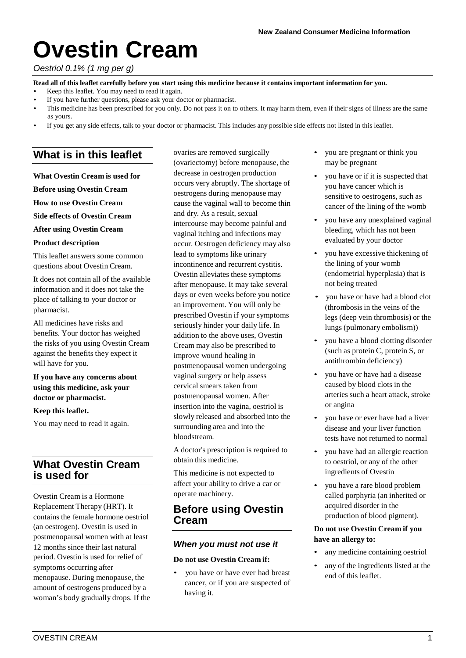# **Ovestin Cream**

#### *Oestriol 0.1% (1 mg per g)*

Read all of this leaflet carefully before you start using this medicine because it contains important information for you.

- Keep this leaflet. You may need to read it again.
- If you have further questions, please ask your doctor or pharmacist.
- This medicine has been prescribed for you only. Do not pass it on to others. It may harm them, even if their signs of illness are the same as yours.
- If you get any side effects, talk to your doctor or pharmacist. This includes any possible side effects not listed in this leaflet.

# **What is in this leaflet**

**What Ovestin Cream is used for** 

**Before using Ovestin Cream** 

**How to use Ovestin Cream**

**Side effects of Ovestin Cream** 

#### **After using Ovestin Cream**

#### **Product description**

This leaflet answers some common questions about Ovestin Cream.

It does not contain all of the available information and it does not take the place of talking to your doctor or pharmacist.

All medicines have risks and benefits. Your doctor has weighed the risks of you using Ovestin Cream against the benefits they expect it will have for you.

**If you have any concerns about using this medicine, ask your doctor or pharmacist.**

#### **Keep this leaflet.**

You may need to read it again.

# **What Ovestin Cream is used for**

Ovestin Cream is a Hormone Replacement Therapy (HRT). It contains the female hormone oestriol (an oestrogen). Ovestin is used in postmenopausal women with at least 12 months since their last natural period. Ovestin is used for relief of symptoms occurring after menopause. During menopause, the amount of oestrogens produced by a woman's body gradually drops. If the

ovaries are removed surgically (ovariectomy) before menopause, the decrease in oestrogen production occurs very abruptly. The shortage of oestrogens during menopause may cause the vaginal wall to become thin and dry. As a result, sexual intercourse may become painful and vaginal itching and infections may occur. Oestrogen deficiency may also lead to symptoms like urinary incontinence and recurrent cystitis. Ovestin alleviates these symptoms after menopause. It may take several days or even weeks before you notice an improvement. You will only be prescribed Ovestin if your symptoms seriously hinder your daily life. In addition to the above uses, Ovestin Cream may also be prescribed to improve wound healing in postmenopausal women undergoing vaginal surgery or help assess cervical smears taken from postmenopausal women. After insertion into the vagina, oestriol is slowly released and absorbed into the surrounding area and into the bloodstream.

A doctor's prescription is required to obtain this medicine.

This medicine is not expected to affect your ability to drive a car or operate machinery.

## **Before using Ovestin Cream**

#### *When you must not use it*

#### **Do not use Ovestin Cream if:**

• you have or have ever had breast cancer, or if you are suspected of having it.

- you are pregnant or think you may be pregnant
- you have or if it is suspected that you have cancer which is sensitive to oestrogens, such as cancer of the lining of the womb
- you have any unexplained vaginal bleeding, which has not been evaluated by your doctor
- you have excessive thickening of the lining of your womb (endometrial hyperplasia) that is not being treated
- you have or have had a blood clot (thrombosis in the veins of the legs (deep vein thrombosis) or the lungs (pulmonary embolism))
- you have a blood clotting disorder (such as protein C, protein S, or antithrombin deficiency)
- you have or have had a disease caused by blood clots in the arteries such a heart attack, stroke or angina
- you have or ever have had a liver disease and your liver function tests have not returned to normal
- you have had an allergic reaction to oestriol, or any of the other ingredients of Ovestin
- you have a rare blood problem called porphyria (an inherited or acquired disorder in the production of blood pigment).

#### **Do not use Ovestin Cream if you have an allergy to:**

- any medicine containing oestriol
- any of the ingredients listed at the end of this leaflet.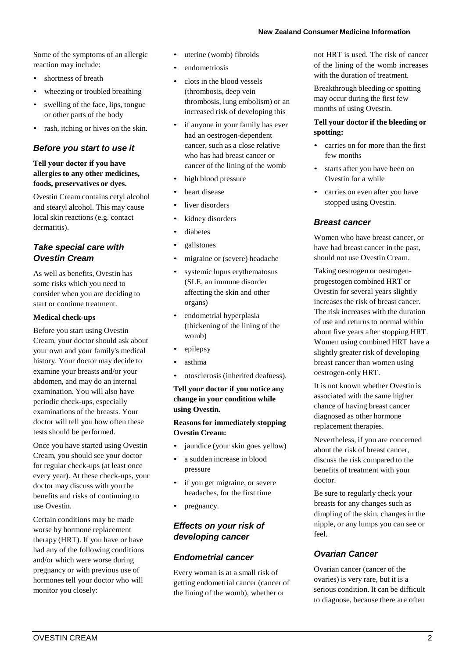Some of the symptoms of an allergic reaction may include:

- shortness of breath
- wheezing or troubled breathing
- swelling of the face, lips, tongue or other parts of the body
- rash, itching or hives on the skin.

## *Before you start to use it*

### **Tell your doctor if you have allergies to any other medicines, foods, preservatives or dyes.**

Ovestin Cream contains cetyl alcohol and stearyl alcohol. This may cause local skin reactions (e.g. contact dermatitis).

## *Take special care with Ovestin Cream*

As well as benefits, Ovestin has some risks which you need to consider when you are deciding to start or continue treatment.

## **Medical check-ups**

Before you start using Ovestin Cream, your doctor should ask about your own and your family's medical history. Your doctor may decide to examine your breasts and/or your abdomen, and may do an internal examination. You will also have periodic check-ups, especially examinations of the breasts. Your doctor will tell you how often these tests should be performed.

Once you have started using Ovestin Cream, you should see your doctor for regular check-ups (at least once every year). At these check-ups, your doctor may discuss with you the benefits and risks of continuing to use Ovestin.

Certain conditions may be made worse by hormone replacement therapy (HRT). If you have or have had any of the following conditions and/or which were worse during pregnancy or with previous use of hormones tell your doctor who will monitor you closely:

- uterine (womb) fibroids
- endometriosis
- clots in the blood vessels (thrombosis, deep vein thrombosis, lung embolism) or an increased risk of developing this
- if anyone in your family has ever had an oestrogen-dependent cancer, such as a close relative who has had breast cancer or cancer of the lining of the womb
- high blood pressure
- heart disease
- liver disorders
- kidney disorders
- diabetes
- gallstones
- migraine or (severe) headache
- systemic lupus erythematosus (SLE, an immune disorder affecting the skin and other organs)
- endometrial hyperplasia (thickening of the lining of the womb)
- epilepsy
- asthma
- otosclerosis (inherited deafness).

**Tell your doctor if you notice any change in your condition while using Ovestin.**

**Reasons for immediately stopping Ovestin Cream:**

- jaundice (your skin goes yellow)
- a sudden increase in blood pressure
- if you get migraine, or severe headaches, for the first time
- pregnancy.

## *Effects on your risk of developing cancer*

## *Endometrial cancer*

Every woman is at a small risk of getting endometrial cancer (cancer of the lining of the womb), whether or

not HRT is used. The risk of cancer of the lining of the womb increases with the duration of treatment.

Breakthrough bleeding or spotting may occur during the first few months of using Ovestin.

### **Tell your doctor if the bleeding or spotting:**

- carries on for more than the first few months
- starts after you have been on Ovestin for a while
- carries on even after you have stopped using Ovestin.

## *Breast cancer*

Women who have breast cancer, or have had breast cancer in the past, should not use Ovestin Cream.

Taking oestrogen or oestrogenprogestogen combined HRT or Ovestin for several years slightly increases the risk of breast cancer. The risk increases with the duration of use and returns to normal within about five years after stopping HRT. Women using combined HRT have a slightly greater risk of developing breast cancer than women using oestrogen-only HRT.

It is not known whether Ovestin is associated with the same higher chance of having breast cancer diagnosed as other hormone replacement therapies.

Nevertheless, if you are concerned about the risk of breast cancer, discuss the risk compared to the benefits of treatment with your doctor.

Be sure to regularly check your breasts for any changes such as dimpling of the skin, changes in the nipple, or any lumps you can see or feel.

# *Ovarian Cancer*

Ovarian cancer (cancer of the ovaries) is very rare, but it is a serious condition. It can be difficult to diagnose, because there are often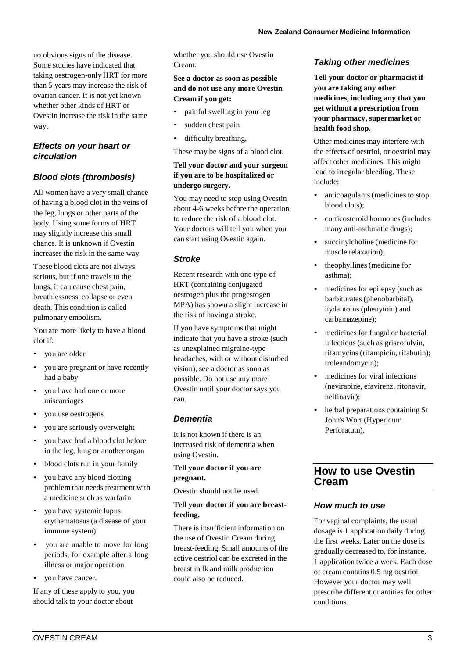no obvious signs of the disease. Some studies have indicated that taking oestrogen-only HRT for more than 5 years may increase the risk of ovarian cancer. It is not yet known whether other kinds of HRT or Ovestin increase the risk in the same way.

## *Effects on your heart or circulation*

## *Blood clots (thrombosis)*

All women have a very small chance of having a blood clot in the veins of the leg, lungs or other parts of the body. Using some forms of HRT may slightly increase this small chance. It is unknown if Ovestin increases the risk in the same way.

These blood clots are not always serious, but if one travels to the lungs, it can cause chest pain, breathlessness, collapse or even death. This condition is called pulmonary embolism.

You are more likely to have a blood clot if:

- you are older
- you are pregnant or have recently had a baby
- you have had one or more miscarriages
- you use oestrogens
- you are seriously overweight
- you have had a blood clot before in the leg, lung or another organ
- blood clots run in your family
- you have any blood clotting problem that needs treatment with a medicine such as warfarin
- you have systemic lupus erythematosus(a disease of your immune system)
- you are unable to move for long periods, for example after a long illness or major operation
- you have cancer.

If any of these apply to you, you should talk to your doctor about

whether you should use Ovestin Cream.

## **See a doctor as soon as possible and do not use any more Ovestin Cream if you get:**

- painful swelling in your leg
- sudden chest pain
- difficulty breathing,

These may be signs of a blood clot.

## **Tell your doctor and your surgeon if you are to be hospitalized or undergo surgery.**

You may need to stop using Ovestin about 4-6 weeks before the operation, to reduce the risk of a blood clot. Your doctors will tell you when you can start using Ovestin again.

## *Stroke*

Recent research with one type of HRT (containing conjugated oestrogen plus the progestogen MPA) has shown a slight increase in the risk of having a stroke.

If you have symptoms that might indicate that you have a stroke (such as unexplained migraine-type headaches, with or without disturbed vision), see a doctor as soon as possible. Do not use any more Ovestin until your doctor says you can.

## *Dementia*

It is not known if there is an increased risk of dementia when using Ovestin.

## **Tell your doctor if you are pregnant.**

Ovestin should not be used.

## **Tell your doctor if you are breastfeeding.**

There is insufficient information on the use of Ovestin Cream during breast-feeding. Small amounts of the active oestriol can be excreted in the breast milk and milk production could also be reduced.

## *Taking other medicines*

**Tell your doctor or pharmacist if you are taking any other medicines, including any that you get without a prescription from your pharmacy, supermarket or health food shop.**

Other medicines may interfere with the effects of oestriol, or oestriol may affect other medicines. This might lead to irregular bleeding. These include:

- anticoagulants(medicines to stop blood clots);
- corticosteroid hormones (includes many anti-asthmatic drugs);
- succinylcholine (medicine for muscle relaxation);
- theophyllines(medicine for asthma);
- medicines for epilepsy (such as barbiturates (phenobarbital), hydantoins (phenytoin) and carbamazepine);
- medicines for fungal or bacterial infections (such as griseofulvin, rifamycins (rifampicin, rifabutin); troleandomycin);
- medicines for viral infections (nevirapine, efavirenz, ritonavir, nelfinavir);
- herbal preparations containing St John's Wort (Hypericum Perforatum).

# **How to use Ovestin Cream**

## *How much to use*

For vaginal complaints, the usual dosage is 1 application daily during the first weeks. Later on the dose is gradually decreased to, for instance, 1 application twice a week. Each dose of cream contains 0.5 mg oestriol. However your doctor may well prescribe different quantities for other conditions.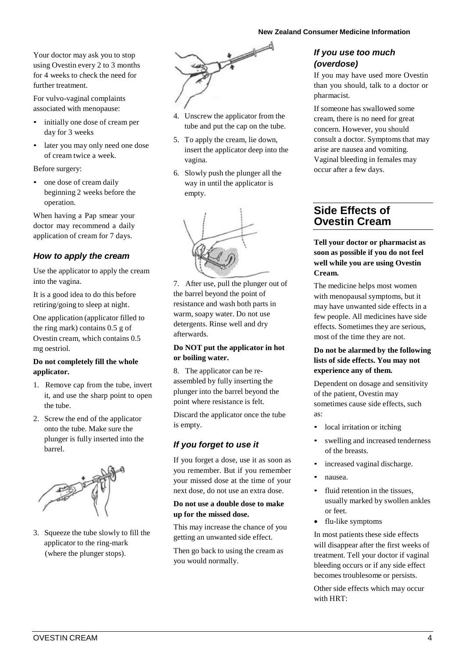Your doctor may ask you to stop using Ovestin every 2 to 3 months for 4 weeks to check the need for further treatment.

For vulvo-vaginal complaints associated with menopause:

- initially one dose of cream per day for 3 weeks
- later you may only need one dose of cream twice a week.

Before surgery:

• one dose of cream daily beginning 2 weeks before the operation.

When having a Pap smear your doctor may recommend a daily application of cream for 7 days.

## *How to apply the cream*

Use the applicator to apply the cream into the vagina.

It is a good idea to do this before retiring/going to sleep at night.

One application (applicator filled to the ring mark) contains 0.5 g of Ovestin cream, which contains 0.5 mg oestriol.

#### **Do not completely fill the whole applicator.**

- 1. Remove cap from the tube, invert it, and use the sharp point to open the tube.
- 2. Screw the end of the applicator onto the tube. Make sure the plunger is fully inserted into the barrel.



3. Squeeze the tube slowly to fill the applicator to the ring-mark (where the plunger stops).



- 4. Unscrew the applicator from the tube and put the cap on the tube.
- 5. To apply the cream, lie down, insert the applicator deep into the vagina.
- 6. Slowly push the plunger all the way in until the applicator is empty.



7. After use, pull the plunger out of the barrel beyond the point of resistance and wash both parts in warm, soapy water. Do not use detergents. Rinse well and dry afterwards.

#### **Do NOT put the applicator in hot or boiling water.**

8. The applicator can be reassembled by fully inserting the plunger into the barrel beyond the point where resistance is felt.

Discard the applicator once the tube is empty.

# *If you forget to use it*

If you forget a dose, use it as soon as you remember. But if you remember your missed dose at the time of your next dose, do not use an extra dose.

#### **Do not use a double dose to make up for the missed dose.**

This may increase the chance of you getting an unwanted side effect.

Then go back to using the cream as you would normally.

## *If you use too much (overdose)*

If you may have used more Ovestin than you should, talk to a doctor or pharmacist.

If someone has swallowed some cream, there is no need for great concern. However, you should consult a doctor. Symptoms that may arise are nausea and vomiting. Vaginal bleeding in females may occur after a few days.

# **Side Effects of Ovestin Cream**

### **Tell your doctor or pharmacist as soon as possible if you do not feel well while you are using Ovestin Cream.**

The medicine helps most women with menopausal symptoms, but it may have unwanted side effects in a few people. All medicines have side effects. Sometimes they are serious, most of the time they are not.

### **Do not be alarmed by the following lists of side effects. You may not experience any of them.**

Dependent on dosage and sensitivity of the patient, Ovestin may sometimes cause side effects, such as:

- local irritation or itching
- swelling and increased tenderness of the breasts.
- increased vaginal discharge.
- nausea.
- fluid retention in the tissues, usually marked by swollen ankles or feet.
- flu-like symptoms

In most patients these side effects will disappear after the first weeks of treatment. Tell your doctor if vaginal bleeding occurs or if any side effect becomes troublesome or persists.

Other side effects which may occur with HRT: